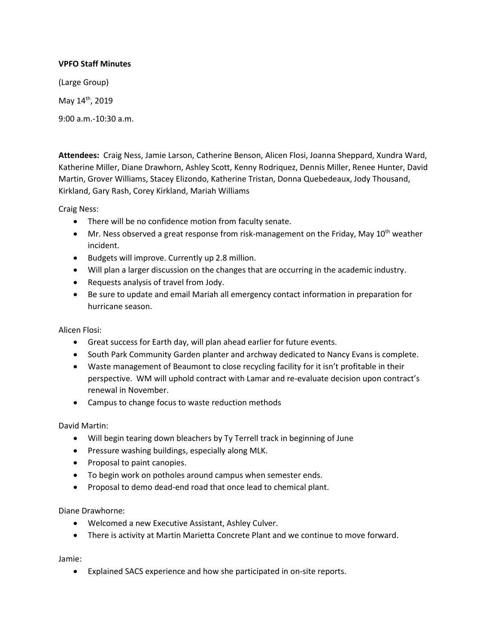# **VPFO Staff Minutes**

(Large Group)

May 14<sup>th</sup>, 2019

9:00 a.m.-10:30 a.m.

**Attendees:** Craig Ness, Jamie Larson, Catherine Benson, Alicen Flosi, Joanna Sheppard, Xundra Ward, Katherine Miller, Diane Drawhorn, Ashley Scott, Kenny Rodriquez, Dennis Miller, Renee Hunter, David Martin, Grover Williams, Stacey Elizondo, Katherine Tristan, Donna Quebedeaux, Jody Thousand, Kirkland, Gary Rash, Corey Kirkland, Mariah Williams

Craig Ness:

- There will be no confidence motion from faculty senate.
- $\bullet$  Mr. Ness observed a great response from risk-management on the Friday, May 10<sup>th</sup> weather incident.
- Budgets will improve. Currently up 2.8 million.
- Will plan a larger discussion on the changes that are occurring in the academic industry.
- Requests analysis of travel from Jody.
- Be sure to update and email Mariah all emergency contact information in preparation for hurricane season.

Alicen Flosi:

- Great success for Earth day, will plan ahead earlier for future events.
- South Park Community Garden planter and archway dedicated to Nancy Evans is complete.
- Waste management of Beaumont to close recycling facility for it isn't profitable in their perspective. WM will uphold contract with Lamar and re-evaluate decision upon contract's renewal in November.
- Campus to change focus to waste reduction methods

David Martin:

- Will begin tearing down bleachers by Ty Terrell track in beginning of June
- Pressure washing buildings, especially along MLK.
- Proposal to paint canopies.
- To begin work on potholes around campus when semester ends.
- Proposal to demo dead-end road that once lead to chemical plant.

Diane Drawhorne:

- Welcomed a new Executive Assistant, Ashley Culver.
- There is activity at Martin Marietta Concrete Plant and we continue to move forward.

Jamie:

Explained SACS experience and how she participated in on-site reports.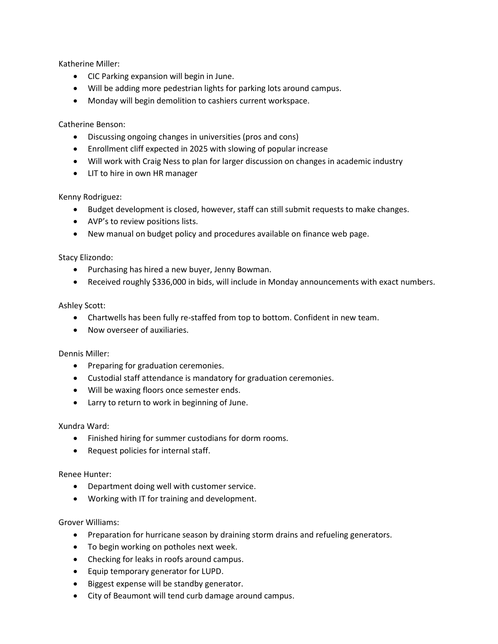Katherine Miller:

- CIC Parking expansion will begin in June.
- Will be adding more pedestrian lights for parking lots around campus.
- Monday will begin demolition to cashiers current workspace.

Catherine Benson:

- Discussing ongoing changes in universities (pros and cons)
- Enrollment cliff expected in 2025 with slowing of popular increase
- Will work with Craig Ness to plan for larger discussion on changes in academic industry
- LIT to hire in own HR manager

Kenny Rodriguez:

- Budget development is closed, however, staff can still submit requests to make changes.
- AVP's to review positions lists.
- New manual on budget policy and procedures available on finance web page.

Stacy Elizondo:

- Purchasing has hired a new buyer, Jenny Bowman.
- Received roughly \$336,000 in bids, will include in Monday announcements with exact numbers.

## Ashley Scott:

- Chartwells has been fully re-staffed from top to bottom. Confident in new team.
- Now overseer of auxiliaries.

## Dennis Miller:

- Preparing for graduation ceremonies.
- Custodial staff attendance is mandatory for graduation ceremonies.
- Will be waxing floors once semester ends.
- Larry to return to work in beginning of June.

## Xundra Ward:

- Finished hiring for summer custodians for dorm rooms.
- Request policies for internal staff.

## Renee Hunter:

- Department doing well with customer service.
- Working with IT for training and development.

## Grover Williams:

- Preparation for hurricane season by draining storm drains and refueling generators.
- To begin working on potholes next week.
- Checking for leaks in roofs around campus.
- Equip temporary generator for LUPD.
- Biggest expense will be standby generator.
- City of Beaumont will tend curb damage around campus.